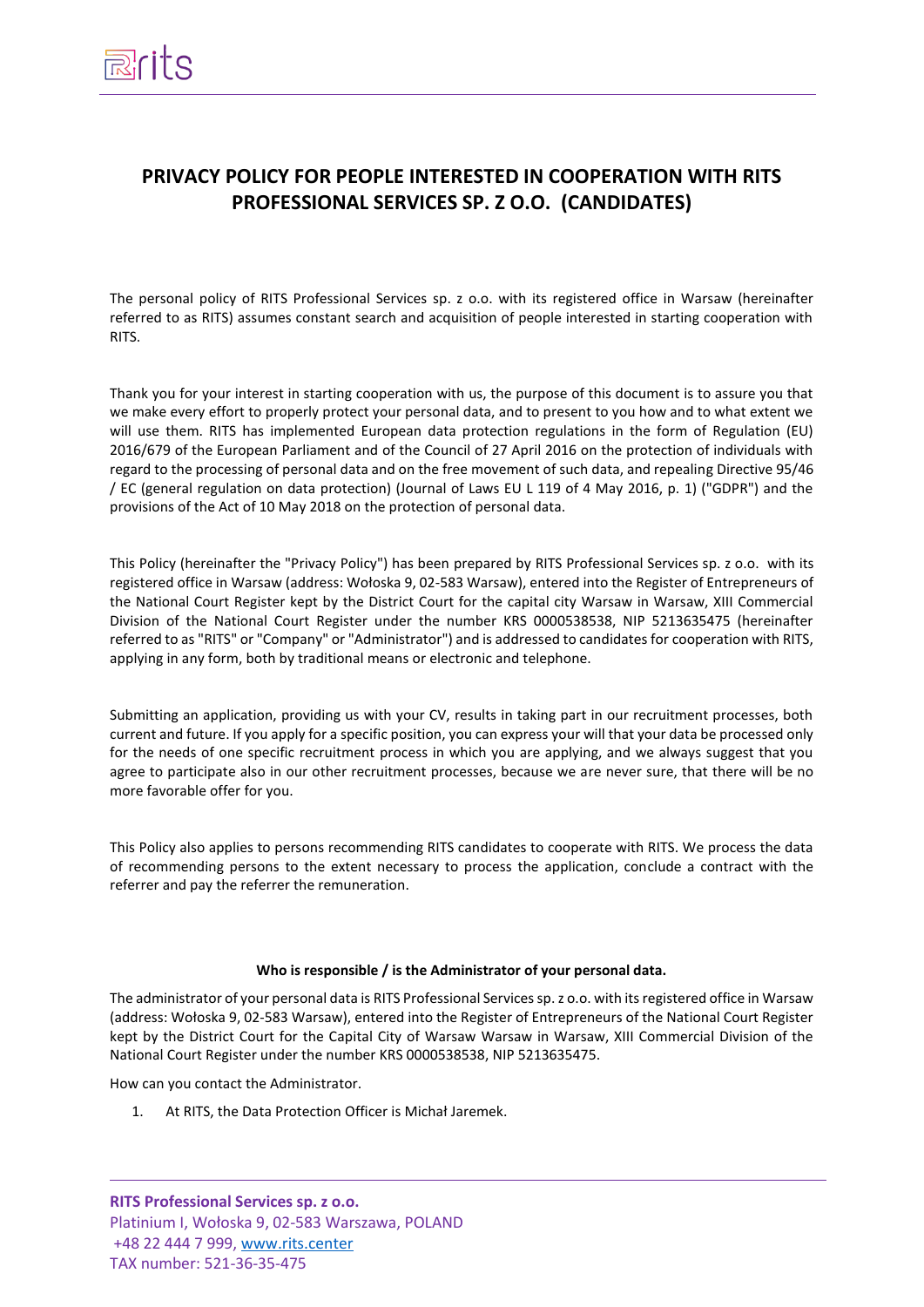# **PRIVACY POLICY FOR PEOPLE INTERESTED IN COOPERATION WITH RITS PROFESSIONAL SERVICES SP. Z O.O. (CANDIDATES)**

The personal policy of RITS Professional Services sp. z o.o. with its registered office in Warsaw (hereinafter referred to as RITS) assumes constant search and acquisition of people interested in starting cooperation with RITS.

Thank you for your interest in starting cooperation with us, the purpose of this document is to assure you that we make every effort to properly protect your personal data, and to present to you how and to what extent we will use them. RITS has implemented European data protection regulations in the form of Regulation (EU) 2016/679 of the European Parliament and of the Council of 27 April 2016 on the protection of individuals with regard to the processing of personal data and on the free movement of such data, and repealing Directive 95/46 / EC (general regulation on data protection) (Journal of Laws EU L 119 of 4 May 2016, p. 1) ("GDPR") and the provisions of the Act of 10 May 2018 on the protection of personal data.

This Policy (hereinafter the "Privacy Policy") has been prepared by RITS Professional Services sp. z o.o. with its registered office in Warsaw (address: Wołoska 9, 02-583 Warsaw), entered into the Register of Entrepreneurs of the National Court Register kept by the District Court for the capital city Warsaw in Warsaw, XIII Commercial Division of the National Court Register under the number KRS 0000538538, NIP 5213635475 (hereinafter referred to as "RITS" or "Company" or "Administrator") and is addressed to candidates for cooperation with RITS, applying in any form, both by traditional means or electronic and telephone.

Submitting an application, providing us with your CV, results in taking part in our recruitment processes, both current and future. If you apply for a specific position, you can express your will that your data be processed only for the needs of one specific recruitment process in which you are applying, and we always suggest that you agree to participate also in our other recruitment processes, because we are never sure, that there will be no more favorable offer for you.

This Policy also applies to persons recommending RITS candidates to cooperate with RITS. We process the data of recommending persons to the extent necessary to process the application, conclude a contract with the referrer and pay the referrer the remuneration.

# **Who is responsible / is the Administrator of your personal data.**

The administrator of your personal data is RITS Professional Services sp. z o.o. with its registered office in Warsaw (address: Wołoska 9, 02-583 Warsaw), entered into the Register of Entrepreneurs of the National Court Register kept by the District Court for the Capital City of Warsaw Warsaw in Warsaw, XIII Commercial Division of the National Court Register under the number KRS 0000538538, NIP 5213635475.

How can you contact the Administrator.

1. At RITS, the Data Protection Officer is Michał Jaremek.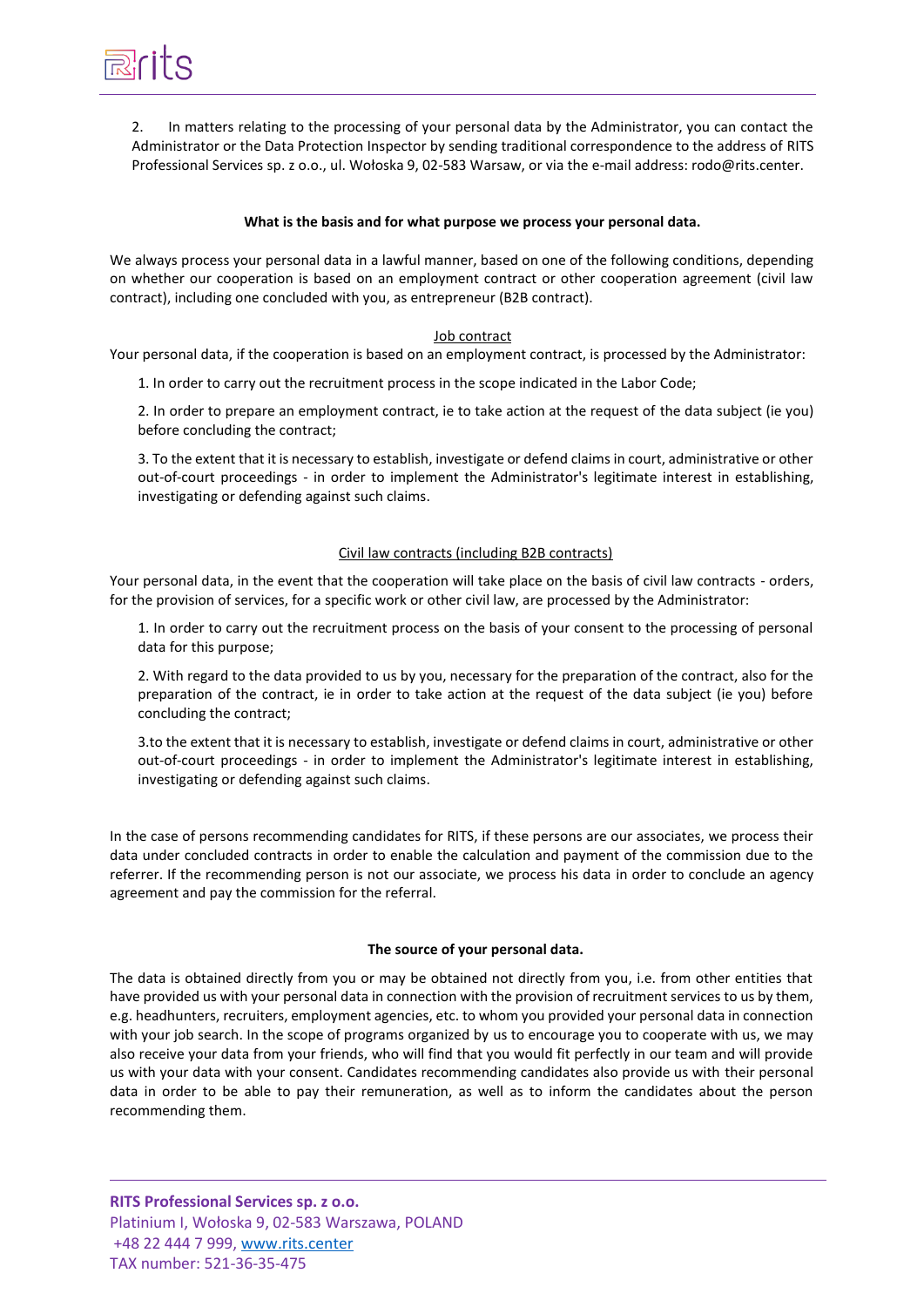2. In matters relating to the processing of your personal data by the Administrator, you can contact the Administrator or the Data Protection Inspector by sending traditional correspondence to the address of RITS Professional Services sp. z o.o., ul. Wołoska 9, 02-583 Warsaw, or via the e-mail address: rodo@rits.center.

# **What is the basis and for what purpose we process your personal data.**

We always process your personal data in a lawful manner, based on one of the following conditions, depending on whether our cooperation is based on an employment contract or other cooperation agreement (civil law contract), including one concluded with you, as entrepreneur (B2B contract).

# Job contract

Your personal data, if the cooperation is based on an employment contract, is processed by the Administrator:

1. In order to carry out the recruitment process in the scope indicated in the Labor Code;

2. In order to prepare an employment contract, ie to take action at the request of the data subject (ie you) before concluding the contract;

3. To the extent that it is necessary to establish, investigate or defend claims in court, administrative or other out-of-court proceedings - in order to implement the Administrator's legitimate interest in establishing, investigating or defending against such claims.

# Civil law contracts (including B2B contracts)

Your personal data, in the event that the cooperation will take place on the basis of civil law contracts - orders, for the provision of services, for a specific work or other civil law, are processed by the Administrator:

1. In order to carry out the recruitment process on the basis of your consent to the processing of personal data for this purpose;

2. With regard to the data provided to us by you, necessary for the preparation of the contract, also for the preparation of the contract, ie in order to take action at the request of the data subject (ie you) before concluding the contract;

3.to the extent that it is necessary to establish, investigate or defend claims in court, administrative or other out-of-court proceedings - in order to implement the Administrator's legitimate interest in establishing, investigating or defending against such claims.

In the case of persons recommending candidates for RITS, if these persons are our associates, we process their data under concluded contracts in order to enable the calculation and payment of the commission due to the referrer. If the recommending person is not our associate, we process his data in order to conclude an agency agreement and pay the commission for the referral.

# **The source of your personal data.**

The data is obtained directly from you or may be obtained not directly from you, i.e. from other entities that have provided us with your personal data in connection with the provision of recruitment services to us by them, e.g. headhunters, recruiters, employment agencies, etc. to whom you provided your personal data in connection with your job search. In the scope of programs organized by us to encourage you to cooperate with us, we may also receive your data from your friends, who will find that you would fit perfectly in our team and will provide us with your data with your consent. Candidates recommending candidates also provide us with their personal data in order to be able to pay their remuneration, as well as to inform the candidates about the person recommending them.

**RITS Professional Services sp. z o.o.**  Platinium I, Wołoska 9, 02-583 Warszawa, POLAND +48 22 444 7 999, [www.rits.center](http://www.rits.center/) TAX number: 521-36-35-475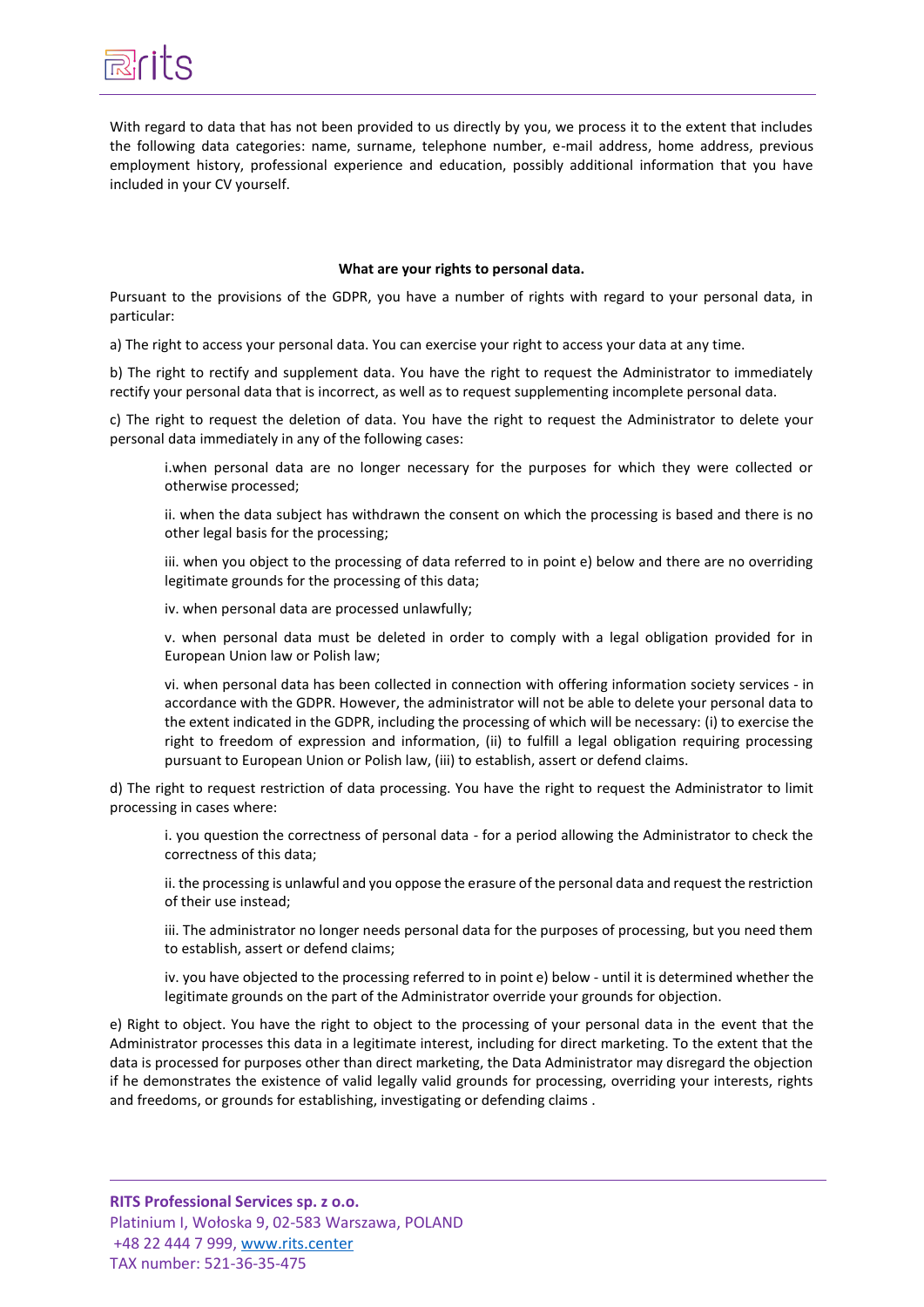

With regard to data that has not been provided to us directly by you, we process it to the extent that includes the following data categories: name, surname, telephone number, e-mail address, home address, previous employment history, professional experience and education, possibly additional information that you have included in your CV yourself.

#### **What are your rights to personal data.**

Pursuant to the provisions of the GDPR, you have a number of rights with regard to your personal data, in particular:

a) The right to access your personal data. You can exercise your right to access your data at any time.

b) The right to rectify and supplement data. You have the right to request the Administrator to immediately rectify your personal data that is incorrect, as well as to request supplementing incomplete personal data.

c) The right to request the deletion of data. You have the right to request the Administrator to delete your personal data immediately in any of the following cases:

i.when personal data are no longer necessary for the purposes for which they were collected or otherwise processed;

ii. when the data subject has withdrawn the consent on which the processing is based and there is no other legal basis for the processing;

iii. when you object to the processing of data referred to in point e) below and there are no overriding legitimate grounds for the processing of this data;

iv. when personal data are processed unlawfully;

v. when personal data must be deleted in order to comply with a legal obligation provided for in European Union law or Polish law;

vi. when personal data has been collected in connection with offering information society services - in accordance with the GDPR. However, the administrator will not be able to delete your personal data to the extent indicated in the GDPR, including the processing of which will be necessary: (i) to exercise the right to freedom of expression and information, (ii) to fulfill a legal obligation requiring processing pursuant to European Union or Polish law, (iii) to establish, assert or defend claims.

d) The right to request restriction of data processing. You have the right to request the Administrator to limit processing in cases where:

i. you question the correctness of personal data - for a period allowing the Administrator to check the correctness of this data;

ii. the processing is unlawful and you oppose the erasure of the personal data and request the restriction of their use instead;

iii. The administrator no longer needs personal data for the purposes of processing, but you need them to establish, assert or defend claims;

iv. you have objected to the processing referred to in point e) below - until it is determined whether the legitimate grounds on the part of the Administrator override your grounds for objection.

e) Right to object. You have the right to object to the processing of your personal data in the event that the Administrator processes this data in a legitimate interest, including for direct marketing. To the extent that the data is processed for purposes other than direct marketing, the Data Administrator may disregard the objection if he demonstrates the existence of valid legally valid grounds for processing, overriding your interests, rights and freedoms, or grounds for establishing, investigating or defending claims .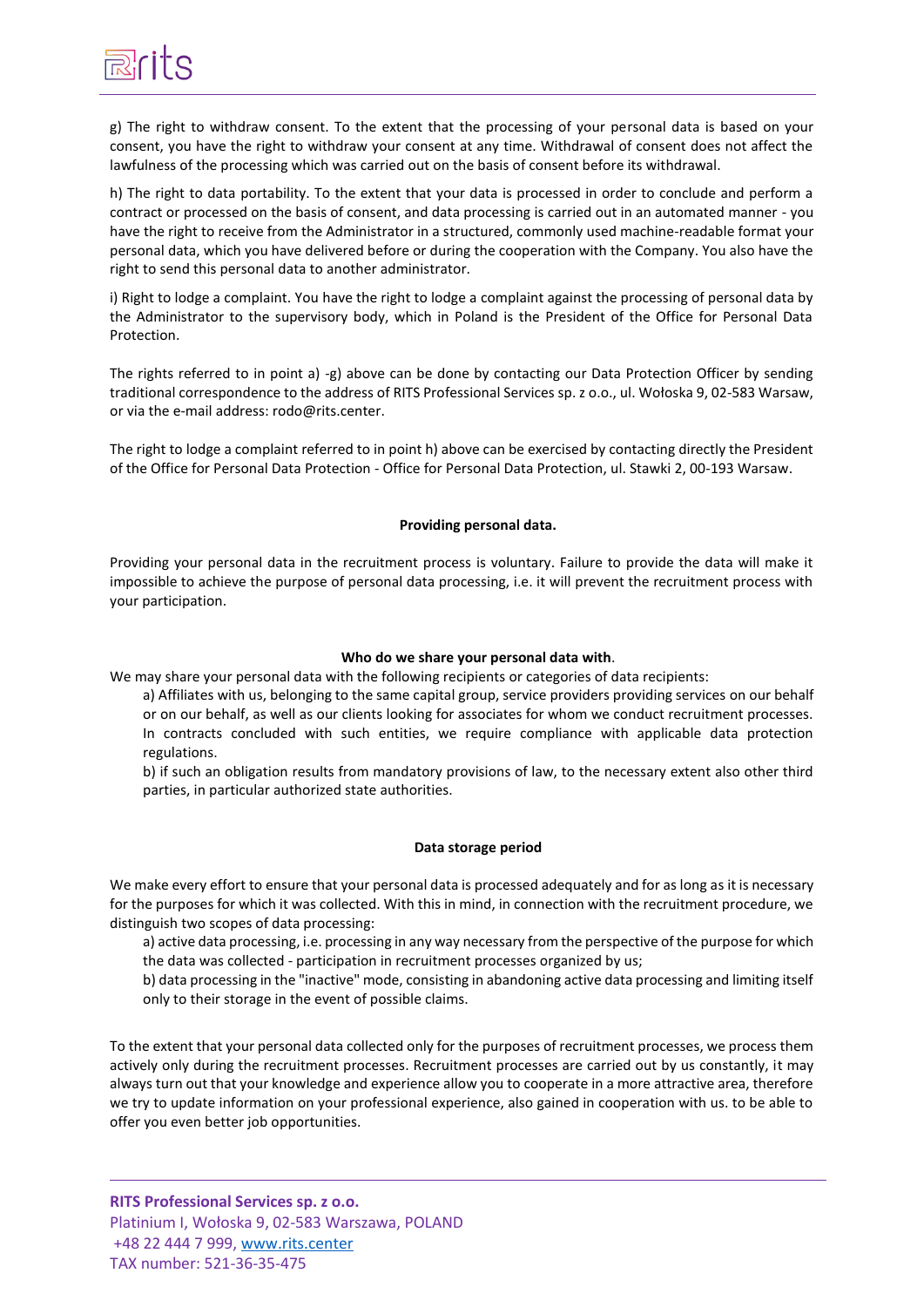

g) The right to withdraw consent. To the extent that the processing of your personal data is based on your consent, you have the right to withdraw your consent at any time. Withdrawal of consent does not affect the lawfulness of the processing which was carried out on the basis of consent before its withdrawal.

h) The right to data portability. To the extent that your data is processed in order to conclude and perform a contract or processed on the basis of consent, and data processing is carried out in an automated manner - you have the right to receive from the Administrator in a structured, commonly used machine-readable format your personal data, which you have delivered before or during the cooperation with the Company. You also have the right to send this personal data to another administrator.

i) Right to lodge a complaint. You have the right to lodge a complaint against the processing of personal data by the Administrator to the supervisory body, which in Poland is the President of the Office for Personal Data Protection.

The rights referred to in point a) -g) above can be done by contacting our Data Protection Officer by sending traditional correspondence to the address of RITS Professional Services sp. z o.o., ul. Wołoska 9, 02-583 Warsaw, or via the e-mail address: rodo@rits.center.

The right to lodge a complaint referred to in point h) above can be exercised by contacting directly the President of the Office for Personal Data Protection - Office for Personal Data Protection, ul. Stawki 2, 00-193 Warsaw.

#### **Providing personal data.**

Providing your personal data in the recruitment process is voluntary. Failure to provide the data will make it impossible to achieve the purpose of personal data processing, i.e. it will prevent the recruitment process with your participation.

#### **Who do we share your personal data with**.

We may share your personal data with the following recipients or categories of data recipients:

a) Affiliates with us, belonging to the same capital group, service providers providing services on our behalf or on our behalf, as well as our clients looking for associates for whom we conduct recruitment processes. In contracts concluded with such entities, we require compliance with applicable data protection regulations.

b) if such an obligation results from mandatory provisions of law, to the necessary extent also other third parties, in particular authorized state authorities.

#### **Data storage period**

We make every effort to ensure that your personal data is processed adequately and for as long as it is necessary for the purposes for which it was collected. With this in mind, in connection with the recruitment procedure, we distinguish two scopes of data processing:

a) active data processing, i.e. processing in any way necessary from the perspective of the purpose for which the data was collected - participation in recruitment processes organized by us;

b) data processing in the "inactive" mode, consisting in abandoning active data processing and limiting itself only to their storage in the event of possible claims.

To the extent that your personal data collected only for the purposes of recruitment processes, we process them actively only during the recruitment processes. Recruitment processes are carried out by us constantly, it may always turn out that your knowledge and experience allow you to cooperate in a more attractive area, therefore we try to update information on your professional experience, also gained in cooperation with us. to be able to offer you even better job opportunities.

**RITS Professional Services sp. z o.o.**  Platinium I, Wołoska 9, 02-583 Warszawa, POLAND +48 22 444 7 999, [www.rits.center](http://www.rits.center/) TAX number: 521-36-35-475